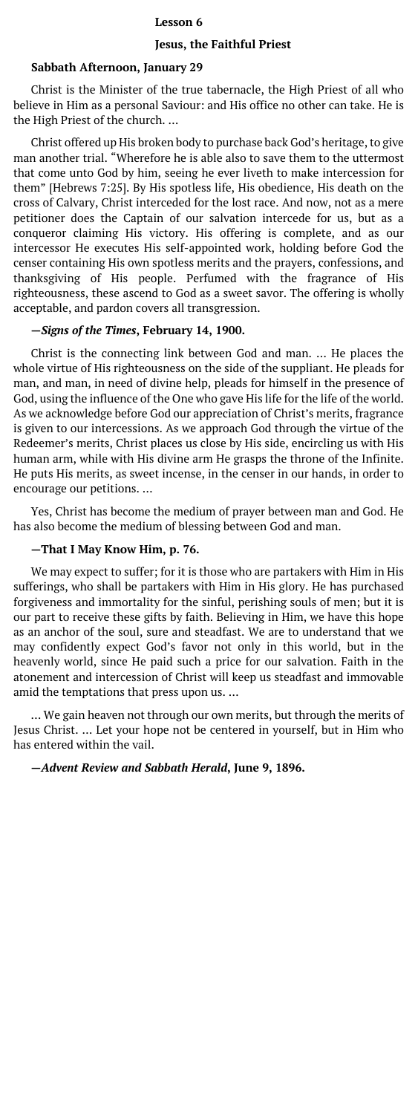# **Lesson 6**

#### **Jesus, the Faithful Priest**

## **Sabbath Afternoon, January 29**

Christ is the Minister of the true tabernacle, the High Priest of all who believe in Him as a personal Saviour: and His office no other can take. He is the High Priest of the church. …

Christ offered up His broken body to purchase back God's heritage, to give man another trial. "Wherefore he is able also to save them to the uttermost that come unto God by him, seeing he ever liveth to make intercession for them" [Hebrews 7:25]. By His spotless life, His obedience, His death on the cross of Calvary, Christ interceded for the lost race. And now, not as a mere petitioner does the Captain of our salvation intercede for us, but as a conqueror claiming His victory. His offering is complete, and as our intercessor He executes His self-appointed work, holding before God the censer containing His own spotless merits and the prayers, confessions, and thanksgiving of His people. Perfumed with the fragrance of His righteousness, these ascend to God as a sweet savor. The offering is wholly acceptable, and pardon covers all transgression.

#### **—***Signs of the Times***, February 14, 1900.**

Christ is the connecting link between God and man. … He places the whole virtue of His righteousness on the side of the suppliant. He pleads for man, and man, in need of divine help, pleads for himself in the presence of God, using the influence of the One who gave His life for the life of the world. As we acknowledge before God our appreciation of Christ's merits, fragrance is given to our intercessions. As we approach God through the virtue of the Redeemer's merits, Christ places us close by His side, encircling us with His human arm, while with His divine arm He grasps the throne of the Infinite. He puts His merits, as sweet incense, in the censer in our hands, in order to encourage our petitions. …

Yes, Christ has become the medium of prayer between man and God. He has also become the medium of blessing between God and man.

#### **—That I May Know Him, p. 76.**

We may expect to suffer; for it is those who are partakers with Him in His sufferings, who shall be partakers with Him in His glory. He has purchased forgiveness and immortality for the sinful, perishing souls of men; but it is our part to receive these gifts by faith. Believing in Him, we have this hope as an anchor of the soul, sure and steadfast. We are to understand that we may confidently expect God's favor not only in this world, but in the heavenly world, since He paid such a price for our salvation. Faith in the atonement and intercession of Christ will keep us steadfast and immovable amid the temptations that press upon us. …

… We gain heaven not through our own merits, but through the merits of Jesus Christ. … Let your hope not be centered in yourself, but in Him who has entered within the vail.

#### **—***Advent Review and Sabbath Herald***, June 9, 1896.**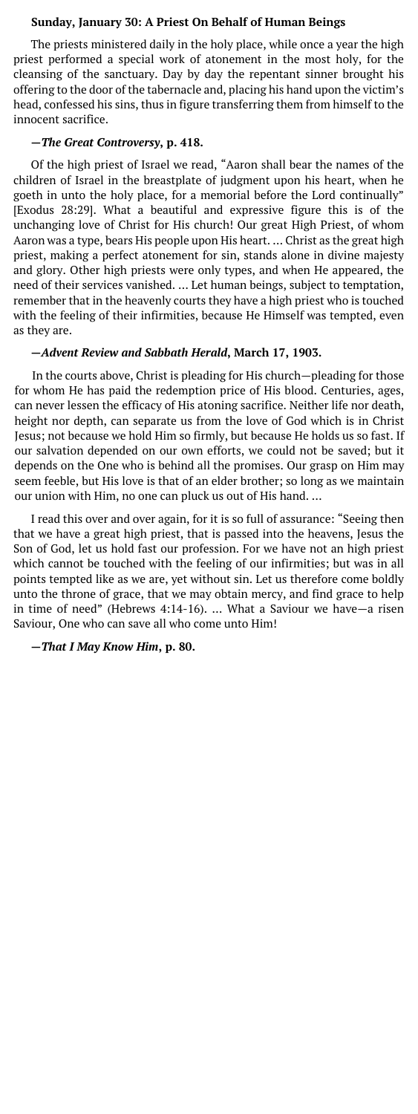# **Sunday, January 30: A Priest On Behalf of Human Beings**

The priests ministered daily in the holy place, while once a year the high priest performed a special work of atonement in the most holy, for the cleansing of the sanctuary. Day by day the repentant sinner brought his offering to the door of the tabernacle and, placing his hand upon the victim's head, confessed his sins, thus in figure transferring them from himself to the innocent sacrifice.

# **—***The Great Controversy***, p. 418.**

Of the high priest of Israel we read, "Aaron shall bear the names of the children of Israel in the breastplate of judgment upon his heart, when he goeth in unto the holy place, for a memorial before the Lord continually" [Exodus 28:29]. What a beautiful and expressive figure this is of the unchanging love of Christ for His church! Our great High Priest, of whom Aaron was a type, bears His people upon His heart. … Christ as the great high priest, making a perfect atonement for sin, stands alone in divine majesty and glory. Other high priests were only types, and when He appeared, the need of their services vanished. … Let human beings, subject to temptation, remember that in the heavenly courts they have a high priest who is touched with the feeling of their infirmities, because He Himself was tempted, even as they are.

#### **—***Advent Review and Sabbath Herald***, March 17, 1903.**

In the courts above, Christ is pleading for His church—pleading for those for whom He has paid the redemption price of His blood. Centuries, ages, can never lessen the efficacy of His atoning sacrifice. Neither life nor death, height nor depth, can separate us from the love of God which is in Christ Jesus; not because we hold Him so firmly, but because He holds us so fast. If our salvation depended on our own efforts, we could not be saved; but it depends on the One who is behind all the promises. Our grasp on Him may seem feeble, but His love is that of an elder brother; so long as we maintain our union with Him, no one can pluck us out of His hand. …

I read this over and over again, for it is so full of assurance: "Seeing then that we have a great high priest, that is passed into the heavens, Jesus the Son of God, let us hold fast our profession. For we have not an high priest which cannot be touched with the feeling of our infirmities; but was in all points tempted like as we are, yet without sin. Let us therefore come boldly unto the throne of grace, that we may obtain mercy, and find grace to help in time of need" (Hebrews 4:14-16). … What a Saviour we have—a risen Saviour, One who can save all who come unto Him!

**—***That I May Know Him***, p. 80.**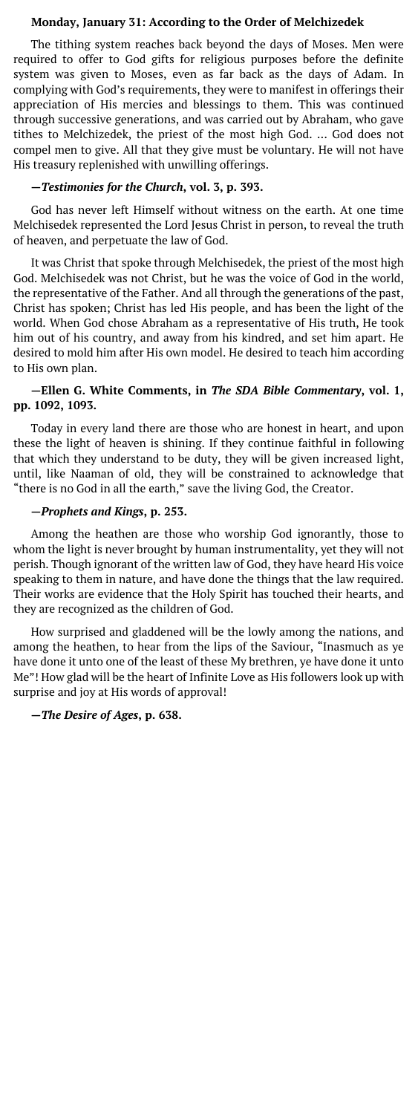# **Monday, January 31: According to the Order of Melchizedek**

The tithing system reaches back beyond the days of Moses. Men were required to offer to God gifts for religious purposes before the definite system was given to Moses, even as far back as the days of Adam. In complying with God's requirements, they were to manifest in offerings their appreciation of His mercies and blessings to them. This was continued through successive generations, and was carried out by Abraham, who gave tithes to Melchizedek, the priest of the most high God. … God does not compel men to give. All that they give must be voluntary. He will not have His treasury replenished with unwilling offerings.

# **—***Testimonies for the Church***, vol. 3, p. 393.**

God has never left Himself without witness on the earth. At one time Melchisedek represented the Lord Jesus Christ in person, to reveal the truth of heaven, and perpetuate the law of God.

It was Christ that spoke through Melchisedek, the priest of the most high God. Melchisedek was not Christ, but he was the voice of God in the world, the representative of the Father. And all through the generations of the past, Christ has spoken; Christ has led His people, and has been the light of the world. When God chose Abraham as a representative of His truth, He took him out of his country, and away from his kindred, and set him apart. He desired to mold him after His own model. He desired to teach him according to His own plan.

# **—Ellen G. White Comments, in** *The SDA Bible Commentary***, vol. 1, pp. 1092, 1093.**

Today in every land there are those who are honest in heart, and upon these the light of heaven is shining. If they continue faithful in following that which they understand to be duty, they will be given increased light, until, like Naaman of old, they will be constrained to acknowledge that "there is no God in all the earth," save the living God, the Creator.

#### **—***Prophets and Kings***, p. 253.**

Among the heathen are those who worship God ignorantly, those to whom the light is never brought by human instrumentality, yet they will not perish. Though ignorant of the written law of God, they have heard His voice speaking to them in nature, and have done the things that the law required. Their works are evidence that the Holy Spirit has touched their hearts, and they are recognized as the children of God.

How surprised and gladdened will be the lowly among the nations, and among the heathen, to hear from the lips of the Saviour, "Inasmuch as ye have done it unto one of the least of these My brethren, ye have done it unto Me"! How glad will be the heart of Infinite Love as His followers look up with surprise and joy at His words of approval!

**—***The Desire of Ages***, p. 638.**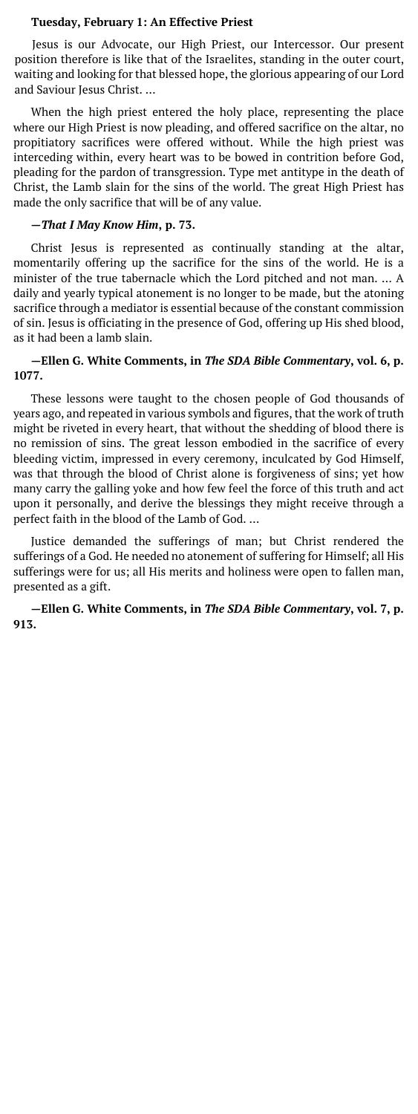# **Tuesday, February 1: An Effective Priest**

Jesus is our Advocate, our High Priest, our Intercessor. Our present position therefore is like that of the Israelites, standing in the outer court, waiting and looking for that blessed hope, the glorious appearing of our Lord and Saviour Jesus Christ. …

When the high priest entered the holy place, representing the place where our High Priest is now pleading, and offered sacrifice on the altar, no propitiatory sacrifices were offered without. While the high priest was interceding within, every heart was to be bowed in contrition before God, pleading for the pardon of transgression. Type met antitype in the death of Christ, the Lamb slain for the sins of the world. The great High Priest has made the only sacrifice that will be of any value.

# **—***That I May Know Him***, p. 73.**

Christ Jesus is represented as continually standing at the altar, momentarily offering up the sacrifice for the sins of the world. He is a minister of the true tabernacle which the Lord pitched and not man. … A daily and yearly typical atonement is no longer to be made, but the atoning sacrifice through a mediator is essential because of the constant commission of sin. Jesus is officiating in the presence of God, offering up His shed blood, as it had been a lamb slain.

# **—Ellen G. White Comments, in** *The SDA Bible Commentary***, vol. 6, p. 1077.**

These lessons were taught to the chosen people of God thousands of years ago, and repeated in various symbols and figures, that the work of truth might be riveted in every heart, that without the shedding of blood there is no remission of sins. The great lesson embodied in the sacrifice of every bleeding victim, impressed in every ceremony, inculcated by God Himself, was that through the blood of Christ alone is forgiveness of sins; yet how many carry the galling yoke and how few feel the force of this truth and act upon it personally, and derive the blessings they might receive through a perfect faith in the blood of the Lamb of God. …

Justice demanded the sufferings of man; but Christ rendered the sufferings of a God. He needed no atonement of suffering for Himself; all His sufferings were for us; all His merits and holiness were open to fallen man, presented as a gift.

# **—Ellen G. White Comments, in** *The SDA Bible Commentary***, vol. 7, p. 913.**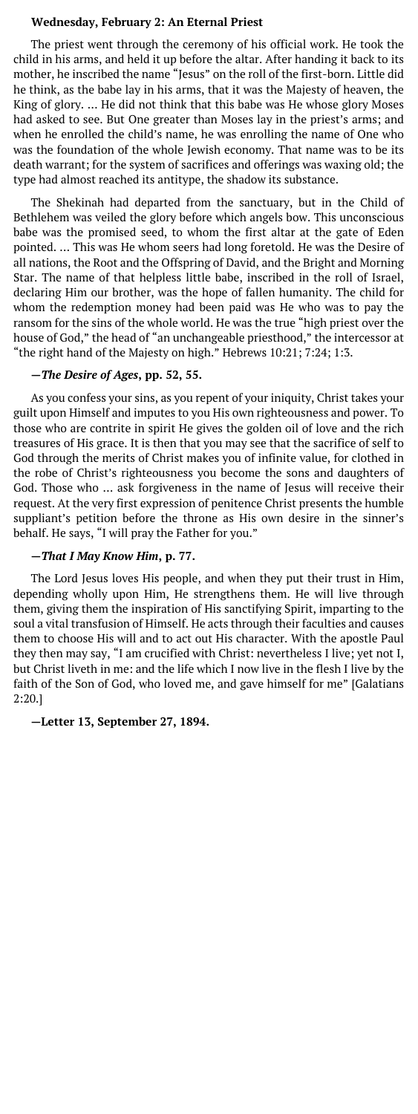## **Wednesday, February 2: An Eternal Priest**

The priest went through the ceremony of his official work. He took the child in his arms, and held it up before the altar. After handing it back to its mother, he inscribed the name "Jesus" on the roll of the first-born. Little did he think, as the babe lay in his arms, that it was the Majesty of heaven, the King of glory. … He did not think that this babe was He whose glory Moses had asked to see. But One greater than Moses lay in the priest's arms; and when he enrolled the child's name, he was enrolling the name of One who was the foundation of the whole Jewish economy. That name was to be its death warrant; for the system of sacrifices and offerings was waxing old; the type had almost reached its antitype, the shadow its substance.

The Shekinah had departed from the sanctuary, but in the Child of Bethlehem was veiled the glory before which angels bow. This unconscious babe was the promised seed, to whom the first altar at the gate of Eden pointed. … This was He whom seers had long foretold. He was the Desire of all nations, the Root and the Offspring of David, and the Bright and Morning Star. The name of that helpless little babe, inscribed in the roll of Israel, declaring Him our brother, was the hope of fallen humanity. The child for whom the redemption money had been paid was He who was to pay the ransom for the sins of the whole world. He was the true "high priest over the house of God," the head of "an unchangeable priesthood," the intercessor at "the right hand of the Majesty on high." Hebrews 10:21; 7:24; 1:3.

## **—***The Desire of Ages***, pp. 52, 55.**

As you confess your sins, as you repent of your iniquity, Christ takes your guilt upon Himself and imputes to you His own righteousness and power. To those who are contrite in spirit He gives the golden oil of love and the rich treasures of His grace. It is then that you may see that the sacrifice of self to God through the merits of Christ makes you of infinite value, for clothed in the robe of Christ's righteousness you become the sons and daughters of God. Those who … ask forgiveness in the name of Jesus will receive their request. At the very first expression of penitence Christ presents the humble suppliant's petition before the throne as His own desire in the sinner's behalf. He says, "I will pray the Father for you."

#### **—***That I May Know Him***, p. 77.**

The Lord Jesus loves His people, and when they put their trust in Him, depending wholly upon Him, He strengthens them. He will live through them, giving them the inspiration of His sanctifying Spirit, imparting to the soul a vital transfusion of Himself. He acts through their faculties and causes them to choose His will and to act out His character. With the apostle Paul they then may say, "I am crucified with Christ: nevertheless I live; yet not I, but Christ liveth in me: and the life which I now live in the flesh I live by the faith of the Son of God, who loved me, and gave himself for me" [Galatians 2:20.]

# **—Letter 13, September 27, 1894.**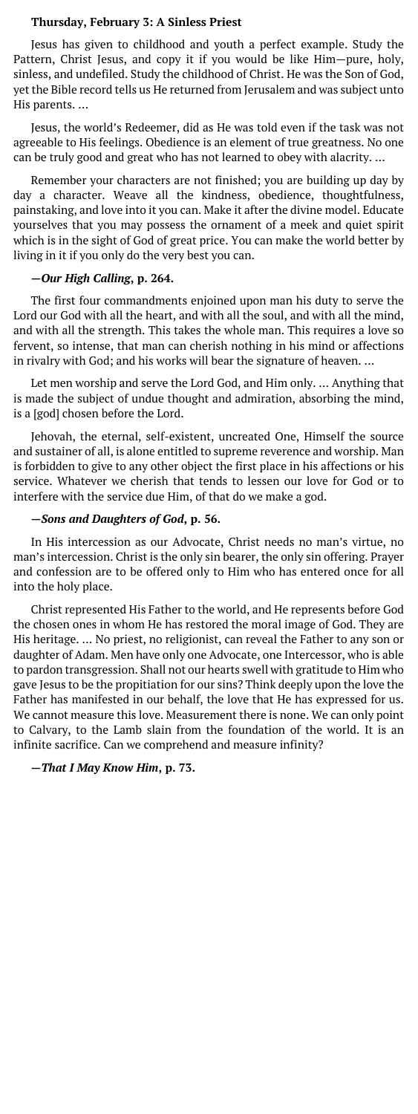# **Thursday, February 3: A Sinless Priest**

Jesus has given to childhood and youth a perfect example. Study the Pattern, Christ Jesus, and copy it if you would be like Him—pure, holy, sinless, and undefiled. Study the childhood of Christ. He was the Son of God, yet the Bible record tells us He returned from Jerusalem and was subject unto His parents. …

Jesus, the world's Redeemer, did as He was told even if the task was not agreeable to His feelings. Obedience is an element of true greatness. No one can be truly good and great who has not learned to obey with alacrity. …

Remember your characters are not finished; you are building up day by day a character. Weave all the kindness, obedience, thoughtfulness, painstaking, and love into it you can. Make it after the divine model. Educate yourselves that you may possess the ornament of a meek and quiet spirit which is in the sight of God of great price. You can make the world better by living in it if you only do the very best you can.

# **—***Our High Calling***, p. 264.**

The first four commandments enjoined upon man his duty to serve the Lord our God with all the heart, and with all the soul, and with all the mind, and with all the strength. This takes the whole man. This requires a love so fervent, so intense, that man can cherish nothing in his mind or affections in rivalry with God; and his works will bear the signature of heaven. …

Let men worship and serve the Lord God, and Him only. … Anything that is made the subject of undue thought and admiration, absorbing the mind, is a [god] chosen before the Lord.

Jehovah, the eternal, self-existent, uncreated One, Himself the source and sustainer of all, is alone entitled to supreme reverence and worship. Man is forbidden to give to any other object the first place in his affections or his service. Whatever we cherish that tends to lessen our love for God or to interfere with the service due Him, of that do we make a god.

# **—***Sons and Daughters of God***, p. 56.**

In His intercession as our Advocate, Christ needs no man's virtue, no man's intercession. Christ is the only sin bearer, the only sin offering. Prayer and confession are to be offered only to Him who has entered once for all into the holy place.

Christ represented His Father to the world, and He represents before God the chosen ones in whom He has restored the moral image of God. They are His heritage. … No priest, no religionist, can reveal the Father to any son or daughter of Adam. Men have only one Advocate, one Intercessor, who is able to pardon transgression. Shall not our hearts swell with gratitude to Him who gave Jesus to be the propitiation for our sins? Think deeply upon the love the Father has manifested in our behalf, the love that He has expressed for us. We cannot measure this love. Measurement there is none. We can only point to Calvary, to the Lamb slain from the foundation of the world. It is an infinite sacrifice. Can we comprehend and measure infinity?

**—***That I May Know Him***, p. 73.**